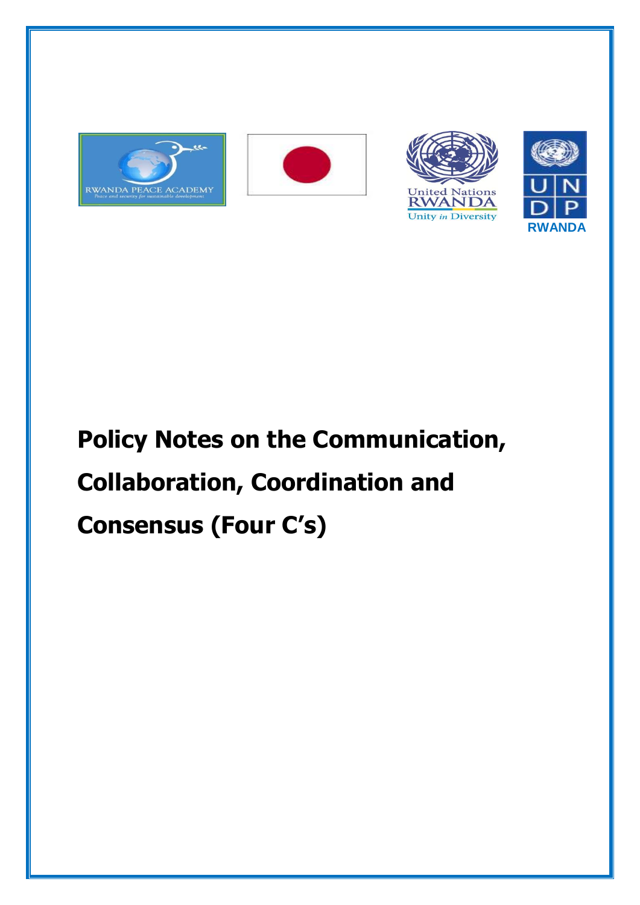







# **Policy Notes on the Communication, Collaboration, Coordination and Consensus (Four C's)**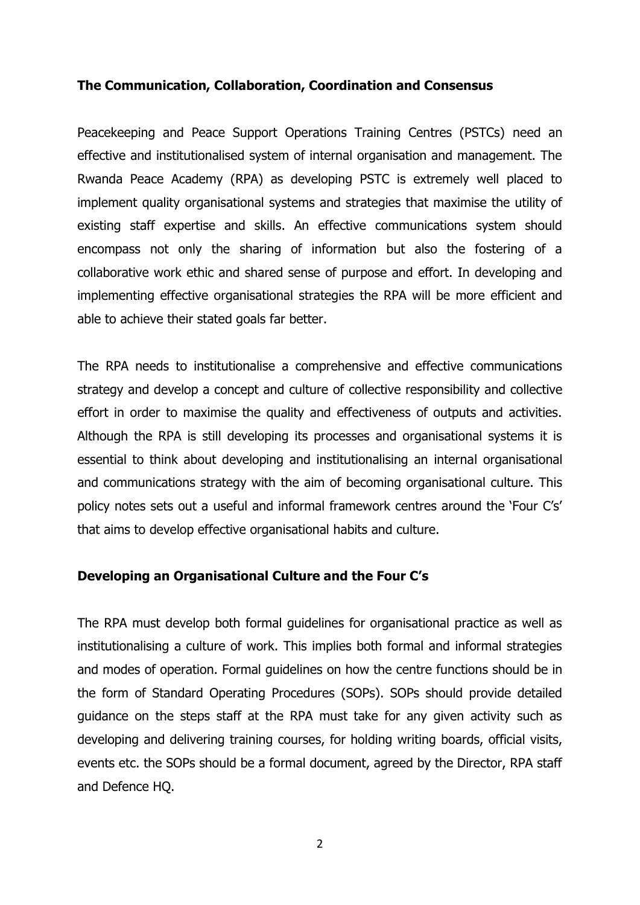## **The Communication, Collaboration, Coordination and Consensus**

Peacekeeping and Peace Support Operations Training Centres (PSTCs) need an effective and institutionalised system of internal organisation and management. The Rwanda Peace Academy (RPA) as developing PSTC is extremely well placed to implement quality organisational systems and strategies that maximise the utility of existing staff expertise and skills. An effective communications system should encompass not only the sharing of information but also the fostering of a collaborative work ethic and shared sense of purpose and effort. In developing and implementing effective organisational strategies the RPA will be more efficient and able to achieve their stated goals far better.

The RPA needs to institutionalise a comprehensive and effective communications strategy and develop a concept and culture of collective responsibility and collective effort in order to maximise the quality and effectiveness of outputs and activities. Although the RPA is still developing its processes and organisational systems it is essential to think about developing and institutionalising an internal organisational and communications strategy with the aim of becoming organisational culture. This policy notes sets out a useful and informal framework centres around the 'Four C's' that aims to develop effective organisational habits and culture.

### **Developing an Organisational Culture and the Four C's**

The RPA must develop both formal guidelines for organisational practice as well as institutionalising a culture of work. This implies both formal and informal strategies and modes of operation. Formal guidelines on how the centre functions should be in the form of Standard Operating Procedures (SOPs). SOPs should provide detailed guidance on the steps staff at the RPA must take for any given activity such as developing and delivering training courses, for holding writing boards, official visits, events etc. the SOPs should be a formal document, agreed by the Director, RPA staff and Defence HQ.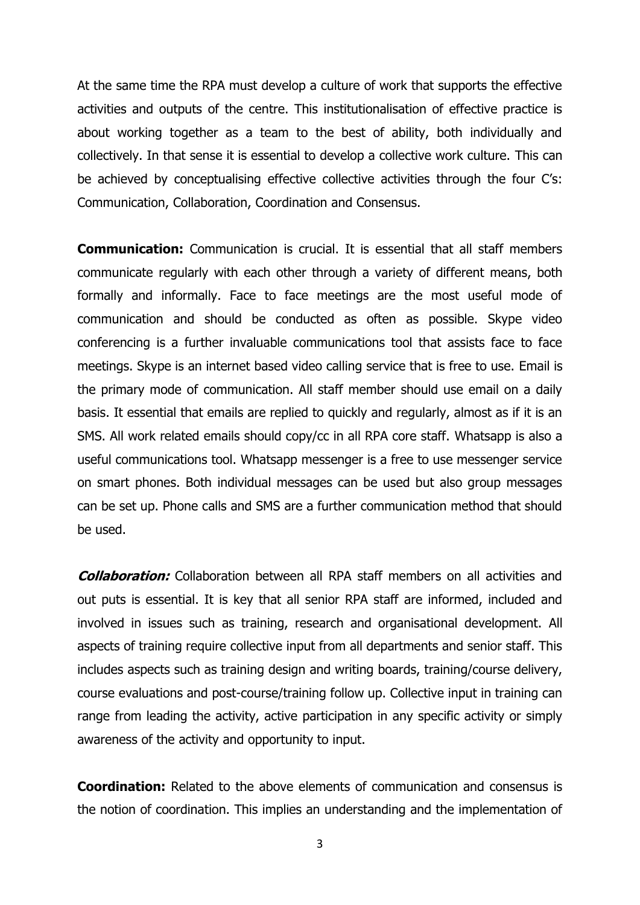At the same time the RPA must develop a culture of work that supports the effective activities and outputs of the centre. This institutionalisation of effective practice is about working together as a team to the best of ability, both individually and collectively. In that sense it is essential to develop a collective work culture. This can be achieved by conceptualising effective collective activities through the four C's: Communication, Collaboration, Coordination and Consensus.

**Communication:** Communication is crucial. It is essential that all staff members communicate regularly with each other through a variety of different means, both formally and informally. Face to face meetings are the most useful mode of communication and should be conducted as often as possible. Skype video conferencing is a further invaluable communications tool that assists face to face meetings. Skype is an internet based video calling service that is free to use. Email is the primary mode of communication. All staff member should use email on a daily basis. It essential that emails are replied to quickly and regularly, almost as if it is an SMS. All work related emails should copy/cc in all RPA core staff. Whatsapp is also a useful communications tool. Whatsapp messenger is a free to use messenger service on smart phones. Both individual messages can be used but also group messages can be set up. Phone calls and SMS are a further communication method that should be used.

**Collaboration:** Collaboration between all RPA staff members on all activities and out puts is essential. It is key that all senior RPA staff are informed, included and involved in issues such as training, research and organisational development. All aspects of training require collective input from all departments and senior staff. This includes aspects such as training design and writing boards, training/course delivery, course evaluations and post-course/training follow up. Collective input in training can range from leading the activity, active participation in any specific activity or simply awareness of the activity and opportunity to input.

**Coordination:** Related to the above elements of communication and consensus is the notion of coordination. This implies an understanding and the implementation of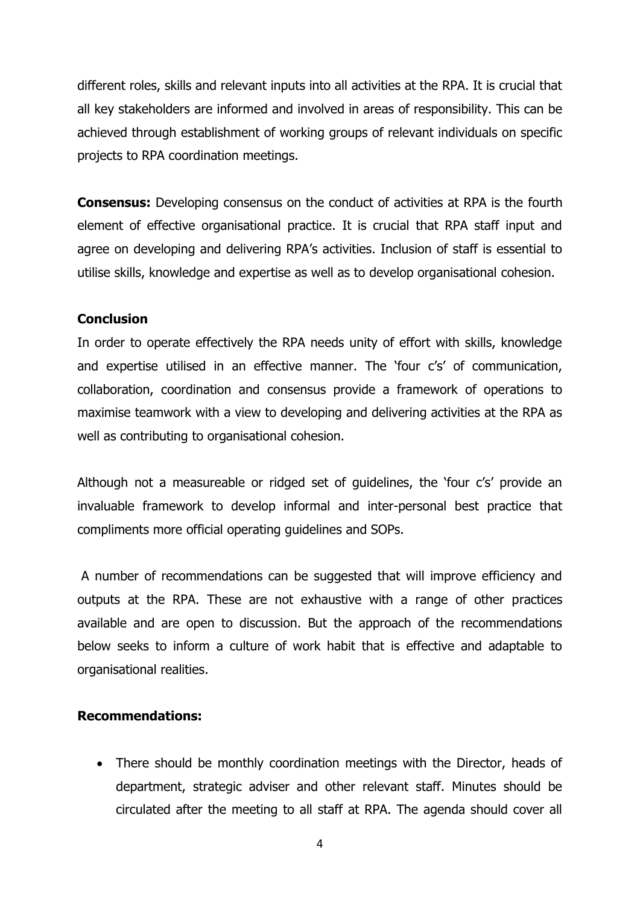different roles, skills and relevant inputs into all activities at the RPA. It is crucial that all key stakeholders are informed and involved in areas of responsibility. This can be achieved through establishment of working groups of relevant individuals on specific projects to RPA coordination meetings.

**Consensus:** Developing consensus on the conduct of activities at RPA is the fourth element of effective organisational practice. It is crucial that RPA staff input and agree on developing and delivering RPA's activities. Inclusion of staff is essential to utilise skills, knowledge and expertise as well as to develop organisational cohesion.

#### **Conclusion**

In order to operate effectively the RPA needs unity of effort with skills, knowledge and expertise utilised in an effective manner. The 'four c's' of communication, collaboration, coordination and consensus provide a framework of operations to maximise teamwork with a view to developing and delivering activities at the RPA as well as contributing to organisational cohesion.

Although not a measureable or ridged set of guidelines, the 'four c's' provide an invaluable framework to develop informal and inter-personal best practice that compliments more official operating guidelines and SOPs.

A number of recommendations can be suggested that will improve efficiency and outputs at the RPA. These are not exhaustive with a range of other practices available and are open to discussion. But the approach of the recommendations below seeks to inform a culture of work habit that is effective and adaptable to organisational realities.

#### **Recommendations:**

• There should be monthly coordination meetings with the Director, heads of department, strategic adviser and other relevant staff. Minutes should be circulated after the meeting to all staff at RPA. The agenda should cover all